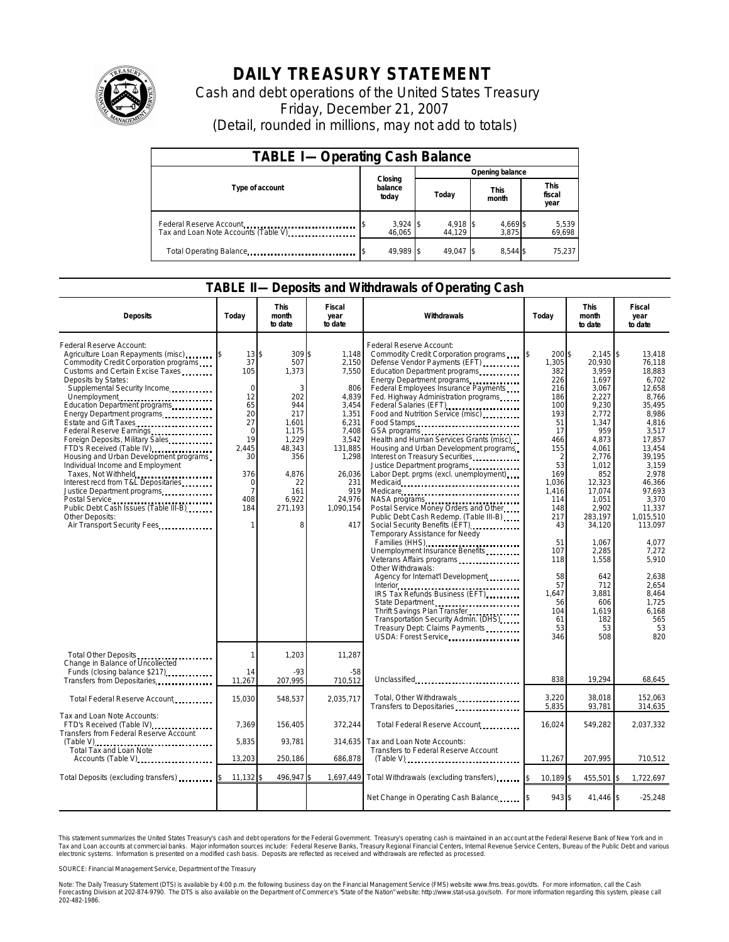

## **DAILY TREASURY STATEMENT**

Cash and debt operations of the United States Treasury Friday, December 21, 2007 (Detail, rounded in millions, may not add to totals)

| <b>TABLE I-Operating Cash Balance</b>                           |                             |                    |                      |                               |  |  |  |
|-----------------------------------------------------------------|-----------------------------|--------------------|----------------------|-------------------------------|--|--|--|
|                                                                 |                             | Opening balance    |                      |                               |  |  |  |
| Type of account                                                 | Closing<br>balance<br>today | Today              | <b>This</b><br>month | <b>This</b><br>fiscal<br>year |  |  |  |
| Federal Reserve Account<br>Tax and Loan Note Accounts (Table V) | $3,924$ \$<br>46,065        | 4,918 \$<br>44.129 | 4,669 \$<br>3,875    | 5,539<br>69,698               |  |  |  |
| Total Operating Balance                                         | 49.989 \$                   | 49.047 \$          | 8.544 \$             | 75.237                        |  |  |  |

## **TABLE II—Deposits and Withdrawals of Operating Cash**

| <b>Deposits</b>                                                                                                                                                                                                                                                                                                                                                                                                                                                                                                                                                                                                                                                               | Todav                                                                                                                                                   | This<br>month<br>to date                                                                                                                   | Fiscal<br>year<br>to date                                                                                                                                      | Withdrawals                                                                                                                                                                                                                                                                                                                                                                                                                                                                                                                                                                                                                                                                                                                                                                                                                                                                                                                                                                                                                | Today                                                                                                                                                                                                                       | <b>This</b><br>month<br>to date                                                                                                                                                                                                                                                        | Fiscal<br>year<br>to date                                                                                                                                                                                                                                                                              |
|-------------------------------------------------------------------------------------------------------------------------------------------------------------------------------------------------------------------------------------------------------------------------------------------------------------------------------------------------------------------------------------------------------------------------------------------------------------------------------------------------------------------------------------------------------------------------------------------------------------------------------------------------------------------------------|---------------------------------------------------------------------------------------------------------------------------------------------------------|--------------------------------------------------------------------------------------------------------------------------------------------|----------------------------------------------------------------------------------------------------------------------------------------------------------------|----------------------------------------------------------------------------------------------------------------------------------------------------------------------------------------------------------------------------------------------------------------------------------------------------------------------------------------------------------------------------------------------------------------------------------------------------------------------------------------------------------------------------------------------------------------------------------------------------------------------------------------------------------------------------------------------------------------------------------------------------------------------------------------------------------------------------------------------------------------------------------------------------------------------------------------------------------------------------------------------------------------------------|-----------------------------------------------------------------------------------------------------------------------------------------------------------------------------------------------------------------------------|----------------------------------------------------------------------------------------------------------------------------------------------------------------------------------------------------------------------------------------------------------------------------------------|--------------------------------------------------------------------------------------------------------------------------------------------------------------------------------------------------------------------------------------------------------------------------------------------------------|
| Federal Reserve Account:<br>Agriculture Loan Repayments (misc)<br>Commodity Credit Corporation programs<br>Customs and Certain Excise Taxes<br>Deposits by States:<br>Supplemental Security Income<br>Unemployment<br>Education Department programs<br>Energy Department programs<br>Estate and Gift Taxes<br>Federal Reserve Earnings<br>Foreign Deposits, Military Sales<br>FTD's Received (Table IV)<br>Housing and Urban Development programs<br>Individual Income and Employment<br>Taxes, Not Withheld<br>Interest recd from T&L Depositaries<br>Justice Department programs<br>Public Debt Cash Issues (Table III-B)<br>Other Deposits:<br>Air Transport Security Fees | $13 \,$ \$<br>37<br>105<br>$\Omega$<br>12<br>65<br>20<br>27<br>$\Omega$<br>19<br>2,445<br>30<br>376<br>$\mathbf 0$<br>$\overline{7}$<br>408<br>184<br>1 | 309\$<br>507<br>1,373<br>3<br>202<br>944<br>217<br>1,601<br>1,175<br>1,229<br>48,343<br>356<br>4.876<br>22<br>161<br>6,922<br>271,193<br>8 | 1,148<br>2,150<br>7,550<br>806<br>4,839<br>3,454<br>1,351<br>6,231<br>7,408<br>3,542<br>131,885<br>1,298<br>26,036<br>231<br>919<br>24.976<br>1,090,154<br>417 | Federal Reserve Account:<br>Commodity Credit Corporation programs<br>Defense Vendor Payments (EFT)<br>Education Department programs<br>Energy Department programs<br>Federal Employees Insurance Payments<br>Fed. Highway Administration programs<br>Federal Salaries (EFT)<br>Food and Nutrition Service (misc)<br>Food Stamps<br>Health and Human Services Grants (misc)<br>Housing and Urban Development programs<br>Interest on Treasury Securities<br>Labor Dept. prgms (excl. unemployment)<br>Medicare<br>NASA programs<br>Postal Service Money Orders and Other<br>Public Debt Cash Redemp. (Table III-B)<br>Social Security Benefits (EFT)<br>Temporary Assistance for Needy<br>Families (HHS)<br>Unemployment Insurance Benefits<br>Veterans Affairs programs<br>Other Withdrawals:<br>Agency for Internat'l Development<br>IRS Tax Refunds Business (EFT)<br>State Department<br>Thrift Savings Plan Transfer<br>Transportation Security Admin. (DHS)<br>Treasury Dept: Claims Payments<br>USDA: Forest Service | 200 \$<br>1,305<br>382<br>226<br>216<br>186<br>100<br>193<br>51<br>17<br>466<br>155<br>2<br>53<br>169<br>1,036<br>1,416<br>114<br>148<br>217<br>43<br>51<br>107<br>118<br>58<br>57<br>1,647<br>56<br>104<br>61<br>53<br>346 | $2,145$ \$<br>20,930<br>3,959<br>1,697<br>3,067<br>2,227<br>9,230<br>2,772<br>1,347<br>959<br>4,873<br>4,061<br>2,776<br>1,012<br>852<br>12,323<br>17.074<br>1,051<br>2.902<br>283,197<br>34,120<br>1.067<br>2,285<br>1,558<br>642<br>712<br>3,881<br>606<br>1.619<br>182<br>53<br>508 | 13,418<br>76.118<br>18.883<br>6,702<br>12,658<br>8,766<br>35.495<br>8,986<br>4,816<br>3,517<br>17.857<br>13,454<br>39,195<br>3,159<br>2.978<br>46,366<br>97.693<br>3,370<br>11.337<br>1.015.510<br>113,097<br>4.077<br>7,272<br>5.910<br>2.638<br>2,654<br>8.464<br>1.725<br>6.168<br>565<br>53<br>820 |
| Total Other Deposits<br>Change in Balance of Uncollected<br>Funds (closing balance \$217)                                                                                                                                                                                                                                                                                                                                                                                                                                                                                                                                                                                     | 1<br>14<br>11,267                                                                                                                                       | 1,203<br>$-93$<br>207,995                                                                                                                  | 11,287<br>$-58$<br>710,512                                                                                                                                     | Unclassified                                                                                                                                                                                                                                                                                                                                                                                                                                                                                                                                                                                                                                                                                                                                                                                                                                                                                                                                                                                                               | 838                                                                                                                                                                                                                         | 19.294                                                                                                                                                                                                                                                                                 | 68,645                                                                                                                                                                                                                                                                                                 |
| Total Federal Reserve Account                                                                                                                                                                                                                                                                                                                                                                                                                                                                                                                                                                                                                                                 | 15,030                                                                                                                                                  | 548,537                                                                                                                                    | 2,035,717                                                                                                                                                      | Total, Other Withdrawals                                                                                                                                                                                                                                                                                                                                                                                                                                                                                                                                                                                                                                                                                                                                                                                                                                                                                                                                                                                                   | 3,220                                                                                                                                                                                                                       | 38,018                                                                                                                                                                                                                                                                                 | 152,063                                                                                                                                                                                                                                                                                                |
| Tax and Loan Note Accounts:<br>FTD's Received (Table IV)<br>Transfers from Federal Reserve Account                                                                                                                                                                                                                                                                                                                                                                                                                                                                                                                                                                            | 7,369<br>5.835                                                                                                                                          | 156,405<br>93.781                                                                                                                          | 372,244                                                                                                                                                        | Transfers to Depositaries<br>Total Federal Reserve Account<br>Tax and Loan Note Accounts:                                                                                                                                                                                                                                                                                                                                                                                                                                                                                                                                                                                                                                                                                                                                                                                                                                                                                                                                  | 5,835<br>16,024                                                                                                                                                                                                             | 93,781<br>549,282                                                                                                                                                                                                                                                                      | 314,635<br>2,037,332                                                                                                                                                                                                                                                                                   |
| Total Tax and Loan Note<br>Accounts (Table V)                                                                                                                                                                                                                                                                                                                                                                                                                                                                                                                                                                                                                                 | 13,203                                                                                                                                                  | 250,186                                                                                                                                    | 314,635<br>686,878                                                                                                                                             | Transfers to Federal Reserve Account<br>$(Table V)$                                                                                                                                                                                                                                                                                                                                                                                                                                                                                                                                                                                                                                                                                                                                                                                                                                                                                                                                                                        | 11,267                                                                                                                                                                                                                      | 207,995                                                                                                                                                                                                                                                                                | 710,512                                                                                                                                                                                                                                                                                                |
| Total Deposits (excluding transfers)                                                                                                                                                                                                                                                                                                                                                                                                                                                                                                                                                                                                                                          | 11,132                                                                                                                                                  | 496,947                                                                                                                                    |                                                                                                                                                                | 1,697,449 Total Withdrawals (excluding transfers)                                                                                                                                                                                                                                                                                                                                                                                                                                                                                                                                                                                                                                                                                                                                                                                                                                                                                                                                                                          | 10,189 \$                                                                                                                                                                                                                   | 455,501                                                                                                                                                                                                                                                                                | 1,722,697<br>I\$                                                                                                                                                                                                                                                                                       |
|                                                                                                                                                                                                                                                                                                                                                                                                                                                                                                                                                                                                                                                                               |                                                                                                                                                         |                                                                                                                                            |                                                                                                                                                                | Net Change in Operating Cash Balance                                                                                                                                                                                                                                                                                                                                                                                                                                                                                                                                                                                                                                                                                                                                                                                                                                                                                                                                                                                       | 943 \$                                                                                                                                                                                                                      | 41,446 \$                                                                                                                                                                                                                                                                              | $-25,248$                                                                                                                                                                                                                                                                                              |

This statement summarizes the United States Treasury's cash and debt operations for the Federal Government. Treasury's operating cash is maintained in an account at the Federal Reserve Bank of New York and in<br>Tax and Loan narizes the United States Treasury's cash and debt operations for the Federal Government. Treasury's operating cash is maintained in an account at the Federal Reserve Bank of New York and in<br>ints at commercial banks. Major

SOURCE: Financial Management Service, Department of the Treasury

Note: The Daily Treasury Statement (DTS) is available by 4:00 p.m. the following business day on the Financial Management Service (FMS) website www.fms.treas.gov/dts. For more information, call the Cash<br>Forecasting Divisio 202-482-1986.